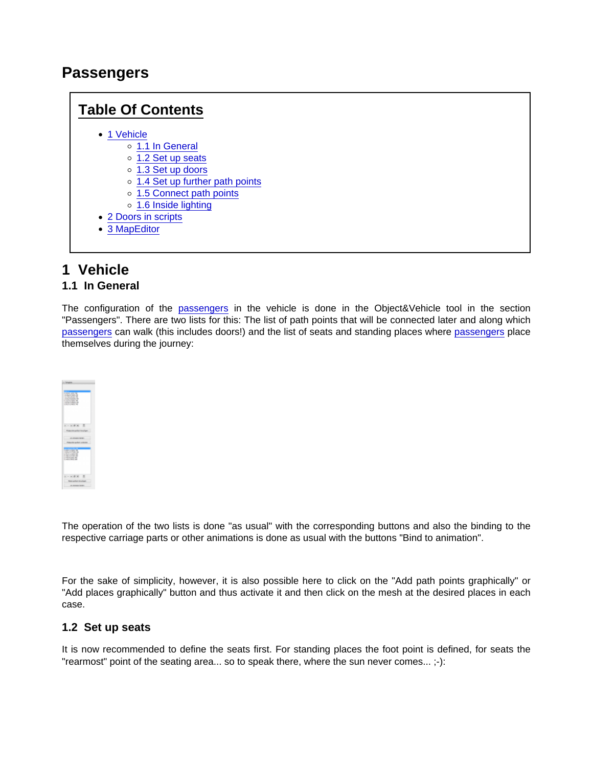# Passengers



## 1 Vehicle

## 1.1 In General

The configuration of the [passengers](https://www.lotus-simulator.de/lexikon/index.php?entry/291-passengers/) in the vehicle is done in the Object&Vehicle tool in the section "Passengers". There are two lists for this: The list of path points that will be connected later and along which [passengers](https://www.lotus-simulator.de/lexikon/index.php?entry/291-passengers/) can walk (this includes doors!) and the list of seats and standing places where [passengers](https://www.lotus-simulator.de/lexikon/index.php?entry/291-passengers/) place themselves during the journey:

The operation of the two lists is done "as usual" with the corresponding buttons and also the binding to the respective carriage parts or other animations is done as usual with the buttons "Bind to animation".

For the sake of simplicity, however, it is also possible here to click on the "Add path points graphically" or "Add places graphically" button and thus activate it and then click on the mesh at the desired places in each case.

#### 1.2 Set up seats

It is now recommended to define the seats first. For standing places the foot point is defined, for seats the "rearmost" point of the seating area... so to speak there, where the sun never comes... ;-):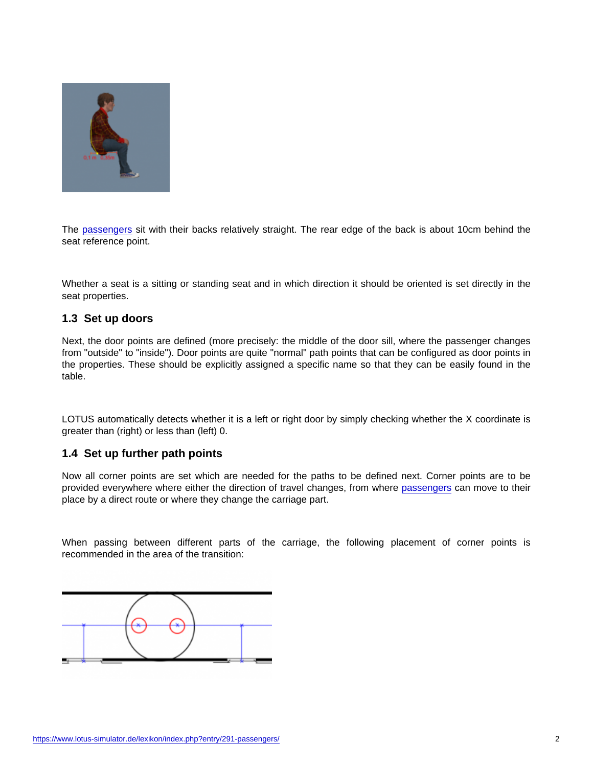The [passengers](https://www.lotus-simulator.de/lexikon/index.php?entry/291-passengers/) sit with their backs relatively straight. The rear edge of the back is about 10cm behind the seat reference point.

Whether a seat is a sitting or standing seat and in which direction it should be oriented is set directly in the seat properties.

#### 1.3 Set up doors

Next, the door points are defined (more precisely: the middle of the door sill, where the passenger changes from "outside" to "inside"). Door points are quite "normal" path points that can be configured as door points in the properties. These should be explicitly assigned a specific name so that they can be easily found in the table.

LOTUS automatically detects whether it is a left or right door by simply checking whether the X coordinate is greater than (right) or less than (left) 0.

#### 1.4 Set up further path points

Now all corner points are set which are needed for the paths to be defined next. Corner points are to be provided everywhere where either the direction of travel changes, from where [passengers](https://www.lotus-simulator.de/lexikon/index.php?entry/291-passengers/) can move to their place by a direct route or where they change the carriage part.

When passing between different parts of the carriage, the following placement of corner points is recommended in the area of the transition: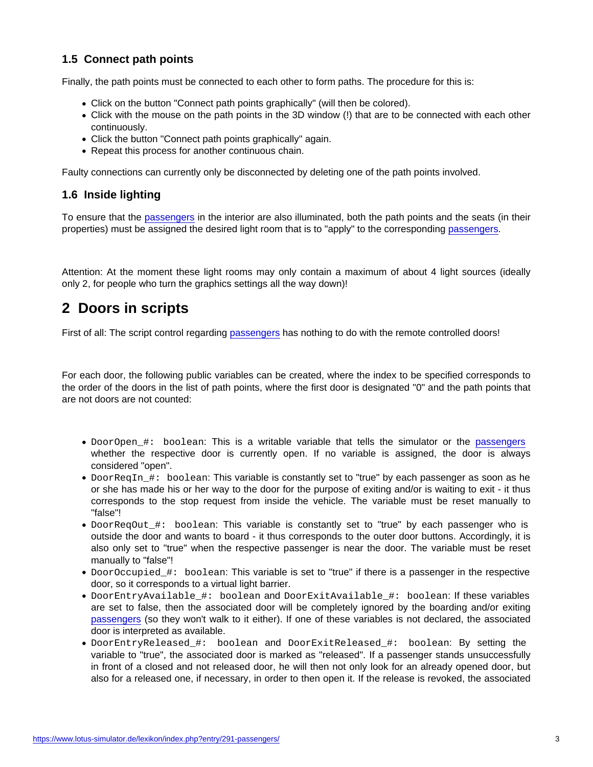## 1.5 Connect path points

Finally, the path points must be connected to each other to form paths. The procedure for this is:

- Click on the button "Connect path points graphically" (will then be colored).
- Click with the mouse on the path points in the 3D window (!) that are to be connected with each other continuously.
- Click the button "Connect path points graphically" again.
- Repeat this process for another continuous chain.

Faulty connections can currently only be disconnected by deleting one of the path points involved.

### 1.6 Inside lighting

To ensure that the [passengers](https://www.lotus-simulator.de/lexikon/index.php?entry/291-passengers/) in the interior are also illuminated, both the path points and the seats (in their properties) must be assigned the desired light room that is to "apply" to the corresponding [passengers.](https://www.lotus-simulator.de/lexikon/index.php?entry/291-passengers/)

Attention: At the moment these light rooms may only contain a maximum of about 4 light sources (ideally only 2, for people who turn the graphics settings all the way down)!

# 2 Doors in scripts

First of all: The script control regarding [passengers](https://www.lotus-simulator.de/lexikon/index.php?entry/291-passengers/) has nothing to do with the remote controlled doors!

For each door, the following public variables can be created, where the index to be specified corresponds to the order of the doors in the list of path points, where the first door is designated "0" and the path points that are not doors are not counted:

- DoorOpen #: boolean : This is a writable variable that tells the simulator or the [passengers](https://www.lotus-simulator.de/lexikon/index.php?entry/291-passengers/) whether the respective door is currently open. If no variable is assigned, the door is always considered "open".
- DoorRegIn #: boolean : This variable is constantly set to "true" by each passenger as soon as he or she has made his or her way to the door for the purpose of exiting and/or is waiting to exit - it thus corresponds to the stop request from inside the vehicle. The variable must be reset manually to "false"!
- DoorRegOut #: boolean : This variable is constantly set to "true" by each passenger who is outside the door and wants to board - it thus corresponds to the outer door buttons. Accordingly, it is also only set to "true" when the respective passenger is near the door. The variable must be reset manually to "false"!
- DoorOccupied #: boolean : This variable is set to "true" if there is a passenger in the respective door, so it corresponds to a virtual light barrier.
- DoorEntryAvailable\_#: boolean and DoorExitAvailable\_#: boolean : If these variables are set to false, then the associated door will be completely ignored by the boarding and/or exiting [passengers](https://www.lotus-simulator.de/lexikon/index.php?entry/291-passengers/) (so they won't walk to it either). If one of these variables is not declared, the associated door is interpreted as available.
- DoorEntryReleased #: boolean and DoorExitReleased #: boolean : By setting the variable to "true", the associated door is marked as "released". If a passenger stands unsuccessfully in front of a closed and not released door, he will then not only look for an already opened door, but also for a released one, if necessary, in order to then open it. If the release is revoked, the associated